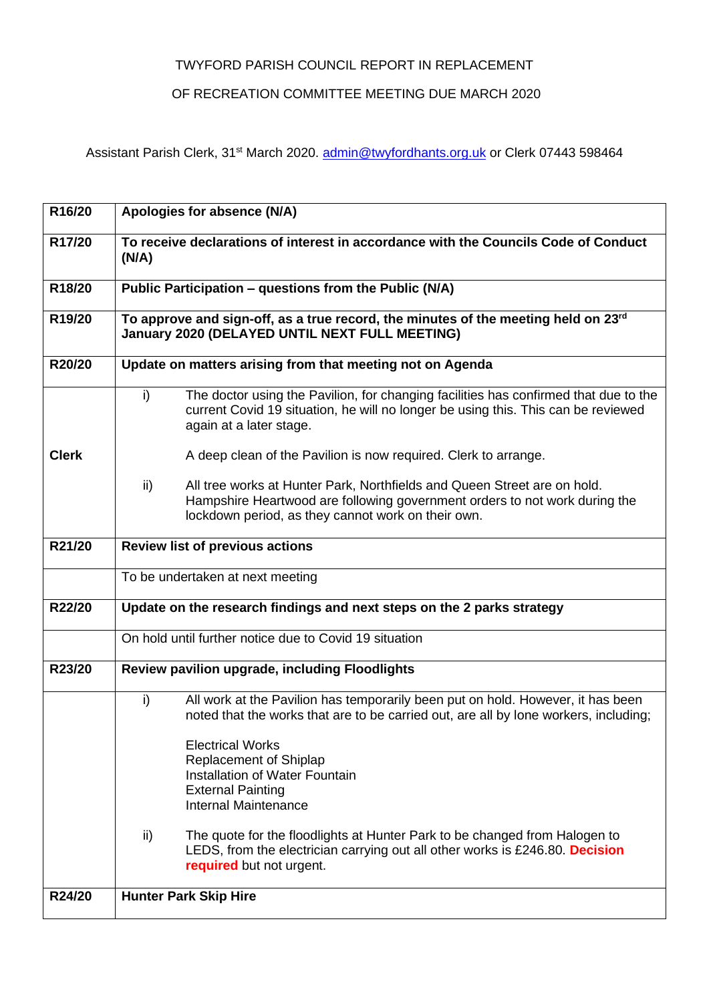## TWYFORD PARISH COUNCIL REPORT IN REPLACEMENT

## OF RECREATION COMMITTEE MEETING DUE MARCH 2020

Assistant Parish Clerk, 31<sup>st</sup> March 2020. **admin@twyfordhants.org.uk** or Clerk 07443 598464

| R16/20       | Apologies for absence (N/A)                                                                                                                                                                                         |
|--------------|---------------------------------------------------------------------------------------------------------------------------------------------------------------------------------------------------------------------|
| R17/20       | To receive declarations of interest in accordance with the Councils Code of Conduct<br>(N/A)                                                                                                                        |
| R18/20       | Public Participation - questions from the Public (N/A)                                                                                                                                                              |
| R19/20       | To approve and sign-off, as a true record, the minutes of the meeting held on 23rd<br><b>January 2020 (DELAYED UNTIL NEXT FULL MEETING)</b>                                                                         |
| R20/20       | Update on matters arising from that meeting not on Agenda                                                                                                                                                           |
|              | The doctor using the Pavilion, for changing facilities has confirmed that due to the<br>i)<br>current Covid 19 situation, he will no longer be using this. This can be reviewed<br>again at a later stage.          |
| <b>Clerk</b> | A deep clean of the Pavilion is now required. Clerk to arrange.                                                                                                                                                     |
|              | All tree works at Hunter Park, Northfields and Queen Street are on hold.<br>ii)<br>Hampshire Heartwood are following government orders to not work during the<br>lockdown period, as they cannot work on their own. |
| R21/20       | <b>Review list of previous actions</b>                                                                                                                                                                              |
|              | To be undertaken at next meeting                                                                                                                                                                                    |
| R22/20       | Update on the research findings and next steps on the 2 parks strategy                                                                                                                                              |
|              | On hold until further notice due to Covid 19 situation                                                                                                                                                              |
| R23/20       | Review pavilion upgrade, including Floodlights                                                                                                                                                                      |
|              | i)<br>All work at the Pavilion has temporarily been put on hold. However, it has been<br>noted that the works that are to be carried out, are all by lone workers, including;                                       |
|              | <b>Electrical Works</b><br><b>Replacement of Shiplap</b><br><b>Installation of Water Fountain</b><br><b>External Painting</b><br>Internal Maintenance                                                               |
|              | The quote for the floodlights at Hunter Park to be changed from Halogen to<br>ii)<br>LEDS, from the electrician carrying out all other works is £246.80. Decision<br>required but not urgent.                       |
| R24/20       | <b>Hunter Park Skip Hire</b>                                                                                                                                                                                        |